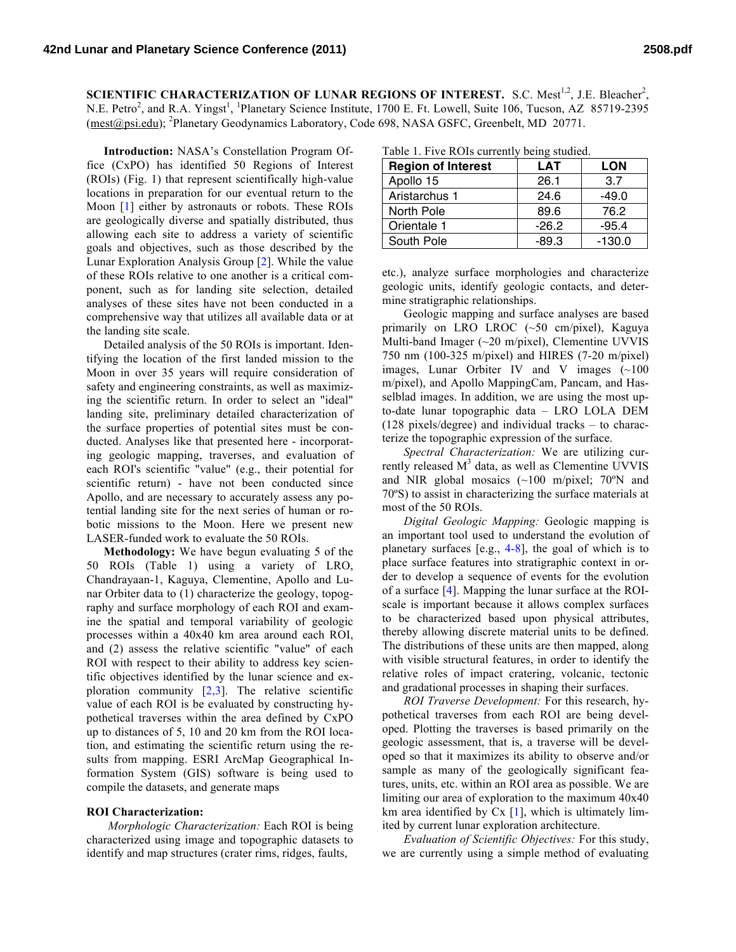SCIENTIFIC CHARACTERIZATION OF LUNAR REGIONS OF INTEREST. S.C. Mest<sup>1,2</sup>, J.E. Bleacher<sup>2</sup>, N.E. Petro<sup>2</sup>, and R.A. Yingst<sup>1</sup>, <sup>1</sup>Planetary Science Institute, 1700 E. Ft. Lowell, Suite 106, Tucson, AZ 85719-2395 (mest@psi.edu); <sup>2</sup>Planetary Geodynamics Laboratory, Code 698, NASA GSFC, Greenbelt, MD 20771.

**Introduction:** NASA's Constellation Program Office (CxPO) has identified 50 Regions of Interest (ROIs) (Fig. 1) that represent scientifically high-value locations in preparation for our eventual return to the Moon [1] either by astronauts or robots. These ROIs are geologically diverse and spatially distributed, thus allowing each site to address a variety of scientific goals and objectives, such as those described by the Lunar Exploration Analysis Group [2]. While the value of these ROIs relative to one another is a critical component, such as for landing site selection, detailed analyses of these sites have not been conducted in a comprehensive way that utilizes all available data or at the landing site scale.

Detailed analysis of the 50 ROIs is important. Identifying the location of the first landed mission to the Moon in over 35 years will require consideration of safety and engineering constraints, as well as maximizing the scientific return. In order to select an "ideal" landing site, preliminary detailed characterization of the surface properties of potential sites must be conducted. Analyses like that presented here - incorporating geologic mapping, traverses, and evaluation of each ROI's scientific "value" (e.g., their potential for scientific return) - have not been conducted since Apollo, and are necessary to accurately assess any potential landing site for the next series of human or robotic missions to the Moon. Here we present new LASER-funded work to evaluate the 50 ROIs.

**Methodology:** We have begun evaluating 5 of the 50 ROIs (Table 1) using a variety of LRO, Chandrayaan-1, Kaguya, Clementine, Apollo and Lunar Orbiter data to (1) characterize the geology, topography and surface morphology of each ROI and examine the spatial and temporal variability of geologic processes within a 40x40 km area around each ROI, and (2) assess the relative scientific "value" of each ROI with respect to their ability to address key scientific objectives identified by the lunar science and exploration community  $[2,3]$ . The relative scientific value of each ROI is be evaluated by constructing hypothetical traverses within the area defined by CxPO up to distances of 5, 10 and 20 km from the ROI location, and estimating the scientific return using the results from mapping. ESRI ArcMap Geographical Information System (GIS) software is being used to compile the datasets, and generate maps

## **ROI Characterization:**

*Morphologic Characterization:* Each ROI is being characterized using image and topographic datasets to identify and map structures (crater rims, ridges, faults,

|  |  |  | Table 1. Five ROIs currently being studied. |  |  |
|--|--|--|---------------------------------------------|--|--|
|--|--|--|---------------------------------------------|--|--|

| <b>Region of Interest</b> | <b>LAT</b> | <b>LON</b> |
|---------------------------|------------|------------|
| Apollo 15                 | 26.1       | 3.7        |
| Aristarchus 1             | 24.6       | $-49.0$    |
| North Pole                | 89.6       | 76.2       |
| Orientale 1               | $-26.2$    | $-95.4$    |
| South Pole                | $-89.3$    | $-130.0$   |

etc.), analyze surface morphologies and characterize geologic units, identify geologic contacts, and determine stratigraphic relationships.

Geologic mapping and surface analyses are based primarily on LRO LROC (~50 cm/pixel), Kaguya Multi-band Imager (~20 m/pixel), Clementine UVVIS 750 nm (100-325 m/pixel) and HIRES (7-20 m/pixel) images, Lunar Orbiter IV and V images (~100 m/pixel), and Apollo MappingCam, Pancam, and Hasselblad images. In addition, we are using the most upto-date lunar topographic data – LRO LOLA DEM (128 pixels/degree) and individual tracks – to characterize the topographic expression of the surface.

*Spectral Characterization:* We are utilizing currently released  $M<sup>3</sup>$  data, as well as Clementine UVVIS and NIR global mosaics (~100 m/pixel; 70ºN and 70ºS) to assist in characterizing the surface materials at most of the 50 ROIs.

*Digital Geologic Mapping:* Geologic mapping is an important tool used to understand the evolution of planetary surfaces [e.g., 4-8], the goal of which is to place surface features into stratigraphic context in order to develop a sequence of events for the evolution of a surface [4]. Mapping the lunar surface at the ROIscale is important because it allows complex surfaces to be characterized based upon physical attributes, thereby allowing discrete material units to be defined. The distributions of these units are then mapped, along with visible structural features, in order to identify the relative roles of impact cratering, volcanic, tectonic and gradational processes in shaping their surfaces.

*ROI Traverse Development:* For this research, hypothetical traverses from each ROI are being developed. Plotting the traverses is based primarily on the geologic assessment, that is, a traverse will be developed so that it maximizes its ability to observe and/or sample as many of the geologically significant features, units, etc. within an ROI area as possible. We are limiting our area of exploration to the maximum 40x40 km area identified by  $Cx$  [1], which is ultimately limited by current lunar exploration architecture.

*Evaluation of Scientific Objectives:* For this study, we are currently using a simple method of evaluating